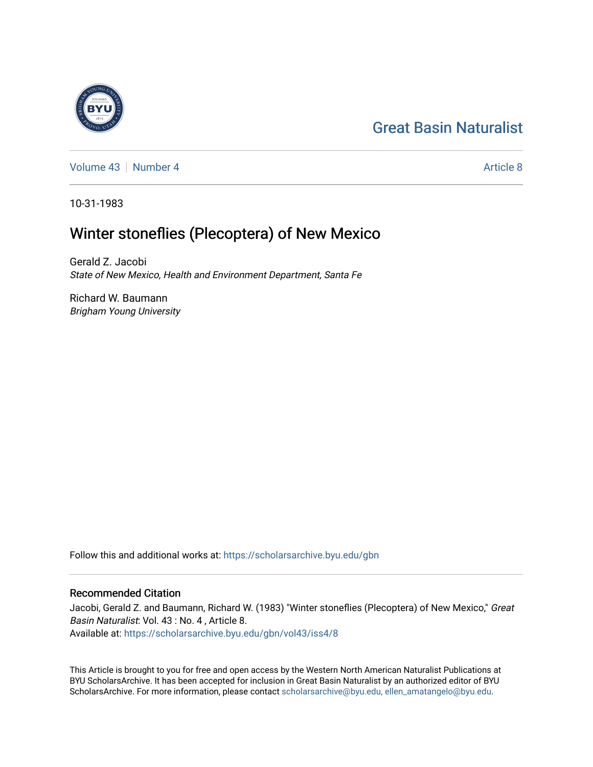# [Great Basin Naturalist](https://scholarsarchive.byu.edu/gbn)

[Volume 43](https://scholarsarchive.byu.edu/gbn/vol43) [Number 4](https://scholarsarchive.byu.edu/gbn/vol43/iss4) [Article 8](https://scholarsarchive.byu.edu/gbn/vol43/iss4/8) Article 8

10-31-1983

# Winter stoneflies (Plecoptera) of New Mexico

Gerald Z. Jacobi State of New Mexico, Health and Environment Department, Santa Fe

Richard W. Baumann Brigham Young University

Follow this and additional works at: [https://scholarsarchive.byu.edu/gbn](https://scholarsarchive.byu.edu/gbn?utm_source=scholarsarchive.byu.edu%2Fgbn%2Fvol43%2Fiss4%2F8&utm_medium=PDF&utm_campaign=PDFCoverPages) 

# Recommended Citation

Jacobi, Gerald Z. and Baumann, Richard W. (1983) "Winter stoneflies (Plecoptera) of New Mexico," Great Basin Naturalist: Vol. 43 : No. 4 , Article 8. Available at: [https://scholarsarchive.byu.edu/gbn/vol43/iss4/8](https://scholarsarchive.byu.edu/gbn/vol43/iss4/8?utm_source=scholarsarchive.byu.edu%2Fgbn%2Fvol43%2Fiss4%2F8&utm_medium=PDF&utm_campaign=PDFCoverPages)

This Article is brought to you for free and open access by the Western North American Naturalist Publications at BYU ScholarsArchive. It has been accepted for inclusion in Great Basin Naturalist by an authorized editor of BYU ScholarsArchive. For more information, please contact [scholarsarchive@byu.edu, ellen\\_amatangelo@byu.edu.](mailto:scholarsarchive@byu.edu,%20ellen_amatangelo@byu.edu)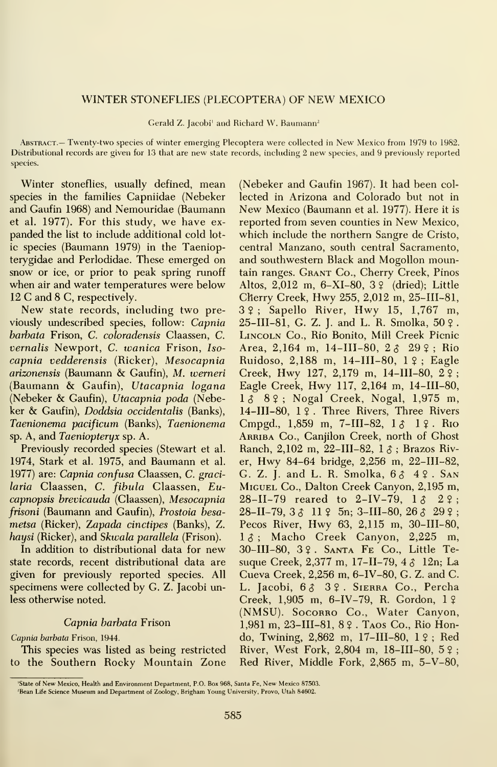# WINTER STONEFLIES (PLECOPTERA) OF NEW MEXICO

Gerald Z. Jacobi' and Richard W. Baumann-

Abstract.— Twenty-two species of winter emerging Plecoptera were collected in New Mexico from 1979 to 1982. Distributional records are given for 13 that are new state records, including 2 new species, and 9 previously reported species.

Winter stoneflies, usually defined, mean species in the families Capniidae (Nebeker and Gaufin 1968) and Nemouridae (Baumann et al. 1977). For this study, we have ex panded the list to include additional cold lotic species (Baumann 1979) in the Taeniopterygidae and Perlodidae. These emerged on snow or ice, or prior to peak spring runoff when air and water temperatures were below <sup>12</sup> C and 8 C, respectively.

New state records, including two previously undescribed species, follow: Capnia barbata Prison, C. coloradensis Claassen, C. vernalis Newport, C. wanica Frison, Isocapnia vedderensis (Ricker), Mesocapnia arizonensis (Baumann & Gaufin), M. iverneri (Baumann & Gaufin), Utacapnia logana (Nebeker & Gaufin), Utacapnia poda (Nebeker & Gaufin), Doddsia occidentalis (Banks), Taenionema pacificum (Banks), Taenionema sp. A, and Taeniopteryx sp. A.

Previously recorded species (Stewart et al. 1974, Stark et al. 1975, and Baumann et al. 1977) are: Capnia confusa Claassen, C. gracilaria Claassen, C. fibula Claassen, Eucapnopsis brevicauda (Claassen), Mesocapnia frisoni (Baumann and Gaufin), Prostoia besa metsa (Ricker), Zapada cinctipes (Banks), Z. haysi (Ricker), and Skwala parallela (Frison).  $1 \delta$ ;

In addition to distributional data for new state records, recent distributional data are given for previously reported species. All specimens were collected by G. Z. Jacobi unless otherwise noted.

# Capnia barbata Frison

# Capnia barbata Frison, 1944.

This species was listed as being restricted to the Southern Rocky Mountain Zone (Nebeker and Gaufin 1967). It had been col lected in Arizona and Colorado but not in New Mexico (Baumann et al. 1977). Here it is reported from seven counties in New Mexico, which include the northern Sangre de Cristo, central Manzano, south central Sacramento, and southwestern Black and Mogollon mountain ranges. Grant Co., Cherry Creek, Pinos Altos, 2,012 m, 6-XI-80, 3 ? (dried); Little Cherry Creek, Hwy 255, 2,012 m, 25-III-81,  $3\hat{y}$ ; Sapello River, Hwy 15, 1,767 m, 25-III-81, G. Z. J. and L. R. Smolka, 50 ? . Lincoln Co., Rio Bonito, Mill Creek Picnic Area, 2,164 m, 14-III-80, 2 3 29 ?; Rio Ruidoso, 2,188 m, 14-III-80, <sup>1</sup> ? ; Eagle Creek, Hwy 127, 2,179 m, 14-III-80, <sup>2</sup> ? ; Eagle Creek, Hwy 117, 2,164 m, 14-III-80, 1  $\delta$  8 ° ; Nogal Creek, Nogal, 1,975 m, 14-III-80, <sup>1</sup> ? . Three Rivers, Three Rivers Cmpgd., 1,859 m, 7-III-82, 1 3 1 ?. Rio ARRIBA Co., Canjilon Creek, north of Ghost Ranch, 2,102 m, 22-III-82,  $1 \delta$ ; Brazos River, Hwy 84-64 bridge, 2,256 m, 22-III-82, G. Z. J. and L. R. Smolka,  $6349$ . SAN Miguel Co., Dalton Creek Canyon, 2,195 m, 28-II-79 reared to 2-IV-79,  $1 \delta$  2 ?;  $28-II-79$ ,  $3 \land 11 \land 5n$ ;  $3-III-80$ ,  $26 \land 29 \land 3$ Pecos River, Hwy 63, 2,115 m, 30-III-80, Macho Creek Canyon, 2,225 m, 30-III-80, 3 \$ . Santa Fe Co., Little Te suque Creek, 2,377 m, 17-II-79, 4  $\delta$  12n; La Cueva Creek, 2,256 m, 6-IV-80, G. Z. and C. L. Jacobi, 63 39. SIERRA Co., Percha Creek,  $1,905$  m,  $6-IV-79$ , R. Gordon,  $1 \n9$ (NMSU). Socorro Co., Water Canyon, 1,981 m, 23-III-81, 8 9 . Taos Co., Rio Hondo, Twining, 2,862 m, 17-III-80, <sup>1</sup> ? ; Red River, West Fork, 2,804 m, 18-III-80,  $5\frac{1}{2}$ ; Red River, Middle Fork, 2,865 m, 5-V-80,

<sup>&#</sup>x27;State of New Mexico, Health and Environment Department, P.O. Box 968, Santa Fe, New Mexico 87503.

<sup>&#</sup>x27;Bean Life Science Museum and Department of Zoology, Brigham Young University, Provo, Utah 84602.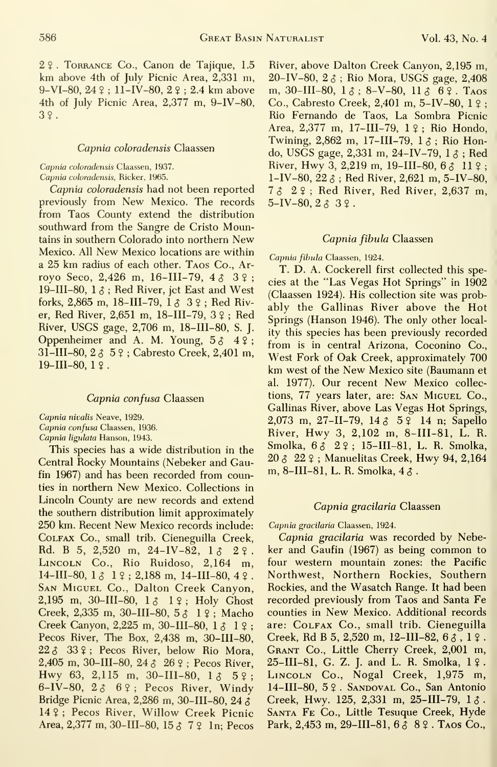2? . Torrance Co., Canon de Tajique, 1.5 km above 4th of July Picnic Area, 2,331 m, 9-VI-80,  $24$  ? ; 11-IV-80,  $2$  ? ; 2.4 km above 4th of July Picnic Area, 2,377 m, 9-IV-80, 3?.

# Capnia coloradensis Claassen

# Capnia coloradensis Claassen, 1937.

Capnia coloradensis, Ricker, 1965.

Capnia coloradensis had not been reported previously from New Mexico. The records from Taos County extend the distribution southward from the Sangre de Cristo Mountains in southern Colorado into northern New Mexico. All New Mexico locations are within <sup>a</sup> 25 km radius of each other. Taos Co., Ar royo Seco, 2,426 m, 16-III-79,  $4\hat{c}$   $3\hat{c}$ ; 19-III-80,  $1 \delta$ ; Red River, jet East and West forks, 2,865 m, 18-III-79,  $1 \delta$  3  $2$ ; Red River, Red River, 2,651 m, 18-III-79, 3 ? ; Red River, USGS gage, 2,706 m, 18-III-80, S. J. Oppenheimer and A. M. Young,  $5 \delta \quad 4 \; ?$ ; 31-III-80, 2 3 5 9 ; Cabresto Creek, 2,401 m,  $19$ -III-80,  $19$ .

# Capnia confusa Claassen

Capnia nivalis Neave, 1929.

Capnia confusa Claassen, 1936.

Capnia ligulata Hanson, 1943.

This species has a wide distribution in the Central Rocky Mountains (Nebeker and Gaufin 1967) and has been recorded from counties in northern New Mexico. Collections in Lincoln County are new records and extend the southern distribution limit approximately 250 km. Recent New Mexico records include Colfax Co., small trib. Cieneguilla Creek Rd. B 5, 2,520 m, 24-IV-82,  $1 \text{ and } 2 \text{ }$ LINCOLN Co., Rio Ruidoso, 2,164 m,  $14$ -III-80,  $1 \delta$  1  $\epsilon$ ; 2,188 m, 14-III-80, 4  $\epsilon$ . SAN MIGUEL Co., Dalton Creek Canyon,  $2,195 \,$  m, 30-III-80,  $1 \, \delta$  1  $\beta$ ; Holy Ghost Creek, 2,335 m, 30-III-80, 5^1?; Macho Creek Canyon, 2,225 m, 30-III-80, 1  $\uparrow$  1 ?; Pecos River, The Box, 2,438 m, 30-III-80,  $22 \delta$  33 °; Pecos River, below Rio Mora, 2,405 m, 30-III-80, 24  $\delta$  26  $\circ$ ; Pecos River, Hwy 63, 2,115 m, 30-III-80,  $1 \delta$  5  $2$ ; 6-IV-80,  $2 \delta$  69; Pecos River, Windy Bridge Picnic Area, 2,286 m, 30-III-80, 24 \$ 14 ? ; Pecos River, Willow Creek Picnic Area, 2,377 m, 30-III-80, 15  $\delta$  7  $\Omega$  1n; Pecos

River, above Dalton Creek Canyon, 2,195 m, 20-IV-80,  $2 \delta$ ; Rio Mora, USGS gage, 2,408 m, 30-III-80,  $1 \delta$ ; 8-V-80,  $11 \delta$  69. Taos Co., Cabresto Creek, 2,401 m, 5-IV-80, <sup>1</sup> ? ; Rio Fernando de Taos, La Sombra Picnic Area, 2,377 m, 17-III-79, 1 ? ; Rio Hondo, Twining, 2,862 m, 17-III-79,  $1 \delta$ ; Rio Hondo, USGS gage, 2,331 m, 24-IV-79,  $1 \delta$ ; Red River, Hwy 3, 2,219 m, 19-III-80, 6 $\lambda$  11  $\lambda$  ; 1-IV-80,  $22 \zeta$ ; Red River, 2,621 m, 5-IV-80, <sup>7</sup> <sup>5</sup> 2?; Red River, Red River, 2,637 m,  $5-IV-80, 2 \delta 3$  ?.

# Capnia fibula Claassen

Capnia fibula Claassen, 1924.

T. D. A. Cockerell first collected this species at the "Las Vegas Hot Springs" in 1902 (Claassen 1924). His collection site was probably the Gallinas River above the Hot Springs (Hanson 1946). The only other locality this species has been previously recorded from is in central Arizona, Coconino Co., West Fork of Oak Creek, approximately 700 km west of the New Mexico site (Baumann et al. 1977). Our recent New Mexico collections, 77 years later, are: San Miguel Co., Gallinas River, above Las Vegas Hot Springs, 2,073 m, 27-II-79, 14  $\delta$  5  $\frac{9}{4}$  14 n; Sapello River, Hwy 3, 2,102 m, 8-III-81, L. R. Smolka, 63 29; 15-III-81, L. R. Smolka, 20 (5 22 ? ; Manuelitas Creek, Hwy 94, 2,164 m, 8-III-81, L. R. Smolka,  $4 \delta$ .

# Capnia gracilaria Claassen

# Capnia gracilaria Claassen, 1924.

Capnia gracilaria was recorded by Nebeker and Gaufin (1967) as being common to four western mountain zones: the Pacific Northwest, Northern Rockies, Southern Rockies, and the Wasatch Range. It had been recorded previously from Taos and Santa Fe counties in New Mexico. Additional records are: Colfax Co., small trib. Cieneguilla Creek, Rd B 5, 2,520 m, 12-III-82,  $6 \delta$ , 1  $2$ . Grant Co., Little Cherry Creek, 2,001 m,  $25$ -III-81, G. Z. J. and L. R. Smolka,  $1 \,$ Lincoln Co., Nogal Creek, 1,975 m, 14-III-80, 5 ?. SANDOVAL Co., San Antonio Creek, Hwy. 125, 2,331 m, 25-III-79,  $1 \delta$ . Santa Fe Co., Little Tesuque Creek, Hyde Park, 2,453 m, 29-III-81,  $6389$ . Taos Co.,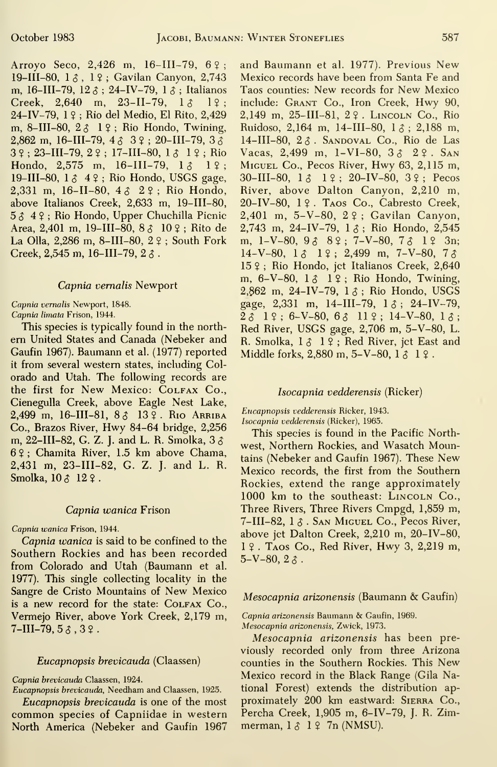Arroyo Seco, 2,426 m, 16-III-79, 6?; 19-III-80, 13, 12; Gavilan Canyon, 2.743 m, 16-III-79, 12  $\delta$  ; 24-IV-79, 1  $\delta$  ; Italianos Creek,  $2,640$  m,  $23-II-79$ ,  $13$   $19$ ; 24-IV-79, <sup>1</sup> ? ; Rio del Medio, El Rito, 2,429 m, 8-III-80,  $2 \delta$  1 ?; Rio Hondo, Twining, 2,862 m, 16-III-79,  $4 \land 3 \lor 20$ -III-79,  $3 \land 3$  $3$  ? ; 23-III-79, 2 ? ; 17-III-80, 1  $\delta$  1 ? ; Rio Hondo, 2,575 m, 16-III-79,  $1 \delta$  1  $\hat{ }$ ; 19-III-80,  $1 \text{ }\delta$  4  $\text{ }\circ$ ; Rio Hondo, USGS gage, 2,331 m, 16-II-80,  $4 \land 2 \lor 7$ ; Rio Hondo, above Italianos Creek, 2,633 m, 19-III-80,  $5\delta$  4 $2$ ; Rio Hondo, Upper Chuchilla Picnic Area, 2,401 m, 19-III-80,  $8 \hat{6}$  10  $\hat{?}$ ; Rito de La Olla, 2,286 m, 8-III-80, 2 ?; South Fork Creek, 2,545 m, 16-III-79, 2 $\delta$ .

### Capnia vernalis Newport

Capnia vernalis Newport, 1848.

Capnia limata Frison, 1944.

This species is typically found in the northem United States and Canada (Nebeker and Gaufin 1967). Baumann et al. (1977) reported it from several western states, including Colorado and Utah. The following records are the first for New Mexico: COLFAX Co., Cienegulla Creek, above Eagle Nest Lake, 2,499 m, 16-III-81,  $8\frac{3}{4}$  13  $\frac{3}{4}$ . Rio Arriba Co., Brazos River, Hwy 84-64 bridge, 2,256 m, 22-III-82, G. Z. J. and L. R. Smolka, 3 \$ 6 \$ ; Chamita River, 1.5 km above Chama, 2,431 m, 23-III-82, G. Z. J. and L. R. Smolka,  $10 \land 12 \circ$ .

# Capnia wanica Frison

# Capnia wanica Frison, 1944.

Capnia wanica is said to be confined to the Southern Rockies and has been recorded from Colorado and Utah (Baumann et al. 1977). This single collecting locality in the Sangre de Cristo Mountains of New Mexico is a new record for the state: COLFAX Co., Vermejo River, above York Creek, 2,179 m,  $7$ -III-79,  $5 \delta$ ,  $3 \Omega$ .

# Eucapnopsis brevicauda (Claassen)

Capnia brevicauda Claassen, 1924.

Eucapnopsis brevicauda, Needham and Claassen, 1925. Eucapnopsis brevicauda is one of the most common species of Capniidae in western North America (Nebeker and Gaufin 1967

and Baumann et al. 1977). Previous New Mexico records have been from Santa Fe and Taos counties: New records for New Mexico include: Grant Co., Iron Creek, Hwy 90, 2.149 m, 25-III-81, 22. LINCOLN Co., Rio Ruidoso, 2,164 m, 14-III-80, 1  $\delta$  : 2,188 m, 14-III-80,  $2 \hat{\sigma}$ . SANDOVAL Co., Rio de Las Vacas, 2,499 m, 1-VI-80,  $3 \land 2 \lor$ . SAN Miguel Co., Pecos River, Hwy 63, 2,115 m, 30-III-80, IS <sup>1</sup> ? ; 20-IV-80, 3 ? ; Pecos River, above Dalton Canyon, 2,210 m, 20-IV-80, <sup>1</sup> ? . Taos Co., Cabresto Creek, 2,401 m, 5-V-80, 2 ? ; Gavilan Canyon, 2,743 m, 24-IV-79,  $1 \delta$ ; Rio Hondo, 2,545 m, 1-V-80,  $9338$ ; 7-V-80,  $731$ ? 3n;  $14-V-80$ ,  $1 \land 1 \land 1 \lor 2$ , 499 m, 7-V-80, 7 $\land$ 15 ? ; Rio Hondo, jet Italianos Creek, 2,640 m,  $6-V-80$ ,  $1\delta$   $1\Omega$ ; Rio Hondo, Twining, 2,862 m, 24-IV-79,  $1 \delta$ ; Rio Hondo, USGS gage,  $2,331$  m,  $14$ -III-79,  $1 \delta$ ;  $24$ -IV-79,  $2\lambda$  1 ? ; 6-V-80, 6  $\lambda$  11 ? ; 14-V-80, 1  $\lambda$  ; Red River, USGS gage, 2,706 m, 5-V-80, L. R. Smolka,  $1 \delta$   $1 \circ$ ; Red River, jet East and Middle forks,  $2.880$  m,  $5-V-80$ ,  $1 \land 1 \land 1$ .

# Isocapnia vedderensis (Ricker)

Eucapnopsis vedderensis Ricker, 1943. Isocapnia vedderensis (Ricker), 1965.

This species is found in the Pacific Northwest, Northern Rockies, and Wasatch Mountains (Nebeker and Gaufin 1967). These New Mexico records, the first from the Southern Rockies, extend the range approximately 1000 km to the southeast: LINCOLN Co., Three Rivers, Three Rivers Cmpgd, 1,859 m, 7-III-82,  $1 \delta$ . San Miguel Co., Pecos River, above jet Dalton Creek, 2,210 m, 20-IV-80, <sup>1</sup> ? . Taos Co., Red River, Hwy 3, 2,219 m,  $5-V-80$ ,  $2 \delta$ .

# Mesocapnia arizonensis (Baumann & Gaufin)

Capnia arizonensis Baumann & Gaufin, 1969. Mesocapnia arizonensis, Zwick, 1973.

Mesocapnia arizonensis has been previously recorded only from three Arizona counties in the Southern Rockies. This New Mexico record in the Black Range (Gila National Forest) extends the distribution ap proximately 200 km eastward: Sierra Co., Percha Creek, 1,905 m, 6-IV-79, J. R. Zimmerman,  $1 \delta$  1  $\Omega$  7n (NMSU).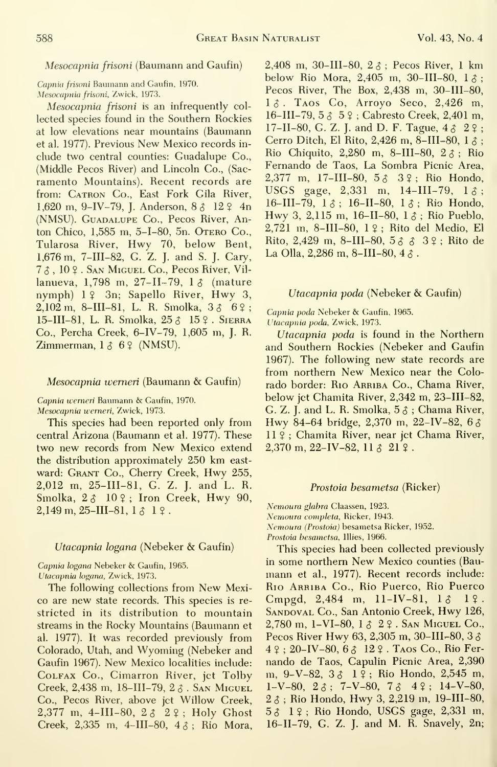# Mesocapnia frisoni (Baumann and Gaufin)

Capnia frisoni Baumann and Gaufin, 1970. Mesocapnia frisoni, Zwick, 1973.

Mesocapnia frisoni is an infrequently col lected species found in the Southern Rockies at low elevations near mountains (Baumann et al. 1977). Previous New Mexico records in clude two central counties: Guadalupe Co., (Middle Pecos River) and Lincoln Co., (Sacramento Mountains). Recent records are from: CATRON Co., East Fork Gila River, 1,620 m, 9-IV-79, J. Anderson,  $8 \land 12 \land 4n$ (NMSU). Guadalupe Co., Pecos River, Anton Chico, 1,585 m, 5-1-80, 5n. Otero Co., Tularosa River, Hwy 70, below Bent, 1,676 m, 7-III-82, G. Z. J. and S. J. Gary,  $7 \delta$ ,  $10 \Omega$ . San Miguel Co., Pecos River, Villanueva, 1,798 m, 27-II-79, 1 3 (mature nymph) <sup>1</sup> ? 3n; Sapello River, Hwy 3,2,102 m, 8-III-81, L. R. Smolka,  $3 \delta \ \ 6 \ \$ ; 15-III-81, L. R. Smolka, 25  $\delta$  15  $\epsilon$ . Sierra Co., Percha Creek, 6-IV-79, 1,605 m, J. R. Zimmerman,  $1 \land 6 \lor (NMSU)$ .

### Mesocapnia wemeri (Baumann & Gaufin)

Capnia wemeri Baumann & Gaufin, 1970. Mesocapnia wemeri, Zwick, 1973.

This species had been reported only from central Arizona (Baumann et al. 1977). These two new records from New Mexico extend the distribution approximately 250 km east ward: Grant Co., Cherry Creek, Hwy 255, 2,012 m, 25-III-81, G. Z. J. and L. R. Smolka,  $2\delta$  10 $\gamma$ ; Iron Creek, Hwy 90,  $2,149$  m,  $25$ -III-81,  $1 \, \delta$  1  $\Omega$ .

# Utacapnia logana (Nebeker & Gaufin)

Capnia logana Nebeker & Gaufin, 1965. Utacapnia logana, Zwick, 1973.

The following collections from New Mexico are new state records. This species is re stricted in its distribution to mountain streams in the Rocky Mountains (Baumann et al. 1977). It was recorded previously from Colorado, Utah, and Wyoming (Nebeker and Gaufin 1967). New Mexico localities include: Colfax Co., Cimarron River, jet Tolby Creek,  $2,438$  m,  $18$ -III-79,  $2 \delta$ . San Miguel Co., Pecos River, above jet Willow Creek, 2,377 m, 4-III-80,  $2 \delta$   $2 \epsilon$ ; Holy Ghost Creek, 2,335 m, 4-III-80, 4\$; Rio Mora, 2,408 m, 30-III-80,  $2 \hat{\sigma}$ ; Pecos River, 1 km below Rio Mora, 2,405 m, 30-III-80,  $1 \delta$ ; Pecos River, The Box, 2,438 m, 30-III-80,  $1 \delta$ . Taos Co, Arroyo Seco, 2,426 m, 16-III-79, 5  $\uparrow$  5  $\uparrow$  ; Cabresto Creek, 2,401 m, 17-II-80, G. Z. J. and D. F. Tague,  $4 \land 2 \$ ; Cerro Ditch, El Rito, 2,426 m, 8-III-80,  $1 \delta$ : Rio Chiquito, 2,280 m, 8-III-80, 2\$; Rio Fernando de Taos, La Sombra Picnic Area, 2,377 m, 17-III-80, 5  $\delta$  3 ?; Rio Hondo, USGS gage, 2,331 m, 14-III-79,  $1 \delta$ ; 16-III-79,  $1 \delta$ ; 16-II-80,  $1 \delta$ ; Rio Hondo, Hwy 3, 2,115 m, 16-II-80, 1  $\delta$ ; Rio Pueblo, 2,721 m, 8-III-80, <sup>1</sup> ? ; Rito del Medio, El Rito, 2,429 m, 8-III-80,  $5 \land \land 3 \lor$ ; Rito de La Olla, 2,286 m, 8-III-80, 4  $\delta$ .

# Utacapnia poda (Nebeker & Gaufin)

Capnia poda Nebeker & Gaufin, 1965. Utacapnia poda, Zwick, 1973.

Utacapnia poda is found in the Northern and Southern Rockies (Nebeker and Gaufin 1967). The following new state records are from northern New Mexico near the Colorado border: Rio ARRIBA Co., Chama River, below jet Chamita River, 2,342 m, 23-III-82, G. Z. J. and L. R. Smolka,  $5\delta$ ; Chama River, Hwy 84-64 bridge, 2,370 m, 22-IV-82, <sup>6</sup> \$ <sup>11</sup> ? ; Chamita River, near jet Chama River,  $2,370 \text{ m}, 22-\text{IV}-82, 11 \text{ s } 21 \text{ s}.$ 

### Prostoia besametsa (Ricker)

Nemoura glabra Claassen, 1923. Nemoura completa, Ricker, 1943. Nemoura (Prostoia) besametsa Ricker, 1952. Prostoia besametsa, Illies, 1966.

This species had been collected previously in some northern New Mexico counties (Bau mann et al., 1977). Recent records include: Rio Arriba Co., Rio Puerco, Rio Puerco Cmpgd, 2,484 m, 11-IV-81,  $1\delta$  1?. SANDOVAL Co., San Antonio Creek, Hwy 126,  $2,780$  m, 1-VI-80, 1  $\delta$  2  $\Omega$ . San Miguel Co., Pecos River Hwy 63, 2,305 m, 30–III–80, 3  $\delta$  $4 \; ?$  ; 20-IV-80, 6  $\delta$  12  $\circ$  . Taos Co., Rio Fernando de Taos, Capulin Picnic Area, 2,390 m, 9-V-82, 3  $\delta$  1  $\frac{1}{2}$ ; Rio Hondo, 2,545 m,  $1-V-80$ ,  $2 \delta$ ;  $7-V-80$ ,  $7 \delta$   $4 \epsilon$ ;  $14-V-80$ ,  $2 \delta$ ; Rio Hondo, Hwy 3, 2,219 m, 19-III-80, 5\$ <sup>1</sup> ? ; Rio Hondo, USGS gage, 2,331 m, 16-II-79, G. Z. J. and M. R. Snavely, 2n;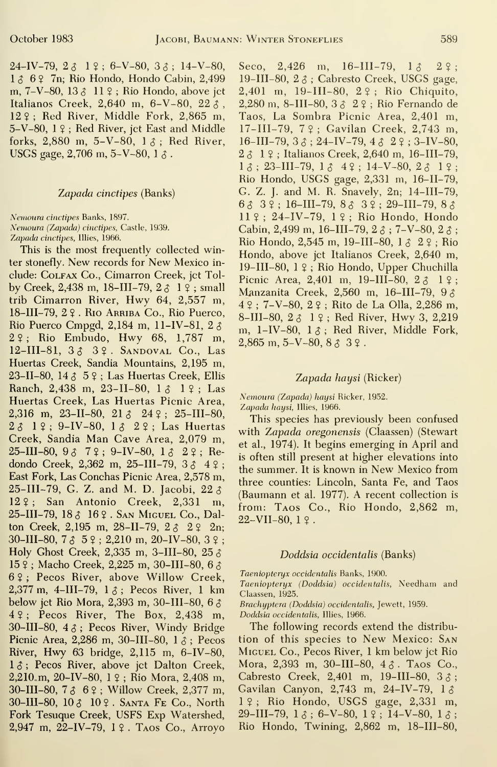$24-\text{IV}-79$ ,  $2 \lambda \quad 1 \, 9$ ;  $6-\text{V}-80$ ,  $3 \lambda$ ;  $14-\text{V}-80$ ,  $3 \, \text{C}$ ,  $2.426$ 1 & 6 ? 7n; Rio Hondo, Hondo Cabin, 2,499 m,  $7-V-80$ ,  $13 \land 11 \circ$ ; Rio Hondo, above jet Italianos Creek, 2,640 m, 6-V-80, 22 $\AA$ . 12 ? ; Red River, Middle Fork, 2,865 m, 5-V-80, <sup>1</sup> ? ; Red River, jet East and Middle forks, 2,880 m, 5-V-80,  $1 \lambda$ ; Red River, USGS gage, 2,706 m, 5-V-80, 1 $\delta$ .

# Zapada cinctipes (Banks)

Nemoura cinctipes Banks, 1897.

Nemoura {Zapada) cinctipes. Castle, 1939. Zapada cinctipes, Illies, 1966.

This is the most frequently collected winter stonefly. New records for New Mexico in clude: Colfax Co., Cimarron Creek, jet Tolby Creek, 2,438 m, 18-III-79,  $2\delta$  1  $\frac{9}{7}$ ; small trib Cimarron River, Hwy 64, 2,557 m, 18-III-79, 2 ? . Rio Arriba Co., Rio Puerco, Rio Puerco Cmpgd, 2,184 m, 11-IV-81, 2 $\delta$ 2\$; Rio Embudo, Hwy 68, 1,787 m,  $12$ -III-81,  $333$   $39$ . SANDOVAL Co., Las Huertas Creek, Sandia Mountains, 2,195 m, 23-II-80, 14  $\upbeta$  5  $\upbeta$  ; Las Huertas Creek, Ellis Ranch, 2,438 m, 23-II-80, 1 3 1 ?; Las Huertas Creek, Las Huertas Picnic Area, 2,316 m, 23-II-80, 21  $\delta$  24  $\frac{6}{7}$ ; 25-III-80,  $2 \delta$  19; 9-IV-80, 1 $\delta$  29; Las Huertas Creek, Sandia Man Cave Area, 2,079 m,  $25$ -III-80,  $9 \land 7 \circ$ ; 9-IV-80,  $1 \land 2 \circ$ ; Redondo Creek, 2,362 m, 25-III-79,  $3 \land 4 \ ?$ ; East Fork, Las Conchas Picnic Area, 2,578 m, 25-III-79, G. Z. and M. D. Jacobi,  $22 \delta$ 12\$; San Antonio Creek, 2,331 m, 25-III-79, 18 <? 16 ? . San Miguel Co., Dalton Creek, 2,195 m, 28-II-79,  $2 \delta$   $2 \hat{2}$   $2n$ ;  $30$ -III-80, 7  $\delta$  5  $\epsilon$ ; 2,210 m, 20-IV-80, 3  $\epsilon$ ; Holy Ghost Creek, 2,335 m, 3-III-80, 25 $\delta$  $15$  ?; Macho Creek, 2,225 m, 30-III-80, 6  $\delta$ 6 ? ; Pecos River, above Willow Creek, 2,377 m, 4-III-79,  $1 \land$ ; Pecos River, 1 km below jet Rio Mora, 2,393 m, 30-III-80, 6 \$ 4 ? ; Pecos River, The Box, 2,438 m, 30-III-80,  $4 \delta$ ; Pecos River, Windy Bridge Picnic Area, 2,286 m, 30-III-80,  $1 \delta$ ; Pecos River, Hwy 63 bridge, 2,115 m, 6-IV-80,  $1 \delta$ ; Pecos River, above jet Dalton Creek, 2,210 m, 20–IV–80, 1  $\frac{1}{2}$ ; Rio Mora, 2,408 m, 30-III-80, 7 5 6?; Willow Creek, 2,377 m, 30-III-80,  $10 \delta$  10  $\epsilon$ . Santa Fe Co., North Fork Tesuque Creek, USES Exp Watershed, 2,947 m, 22-IV-79,  $1 \,$ 2. T<sub>AOS</sub> Co., Arroyo

m,  $16-III-79$ ,  $1 \delta$   $2 \zeta$ ; 19-III-80,  $2 \delta$ ; Cabresto Creek, USGS gage, 2,401 m, 19-III-80, 22; Rio Chiquito, 2,280 m, 8-III-80,  $3 \land 2 \lor$ ; Rio Fernando de Taos, La Sombra Picnic Area, 2,401 m, 17-III-79, 7?; Gavilan Creek, 2,743 m, 16-III-79,  $3 \land$ ; 24-IV-79,  $4 \land 2 \lor$ ; 3-IV-80,  $2 \land 1$  ? : Italianos Creek, 2,640 m, 16-III-79,  $1 \delta$ ; 23-III-79,  $1 \delta$  4 2; 14-V-80,  $2 \delta$  1 2; Rio Hondo, USGS gage, 2,331 m, 16-11-79, G. Z. J. and M. R. Snavely, 2n; 14-III-79, 65 3?; 16-III-79, 85 3?; 29-111-79, 8 5 II ? ; 24-IV-79, <sup>1</sup>? ; Rio Hondo, Hondo Cabin, 2,499 m, 16-III-79, 2  $\delta$ ; 7-V-80, 2  $\delta$ ; Rio Hondo, 2,545 m, 19-III-80,  $1 \land 2 \lor$ ; Rio Hondo, above jet Italianos Creek, 2,640 m, 19-III-80, <sup>1</sup> ? ; Rio Hondo, Upper Chuchilla Picnic Area, 2,401 m, 19-III-80,  $2 \hat{6}$  1 ?; Manzanita Creek, 2,560 m, 16-III-79, 9 5  $4 \, \frac{\circ}{4}$ ; 7-V-80,  $2 \, \frac{\circ}{4}$ ; Rito de La Olla, 2,286 m, 8-III-80, <sup>2</sup> <sup>5</sup> <sup>1</sup> ? ; Red River, Hwy 3, 2,219 m,  $1-IV-80$ ,  $1\delta$ ; Red River, Middle Fork,  $2,865$  m,  $5-V-80$ ,  $8 \land 3$   $9$ .

# Zapada haysi (Ricker)

Nemoura (Zapada) haysi Ricker, 1952. Zapada haysi, Illies, 1966.

This species has previously been confused with Zapada oregonensis (Claassen) (Stewart et al., 1974). It begins emerging in April and is often still present at higher elevations into the summer. It is known in New Mexico from three counties: Lincoln, Santa Fe, and Taos (Baumann et al. 1977). A recent collection is from: Taos Co., Rio Hondo, 2,862 m,  $22-VII-80.19$ .

#### Doddsia occidentalis (Banks)

Taeniopteryx occidentalis Banks, 1900.

Taeniopteryx (Doddsia) occidentalis, Needham and Claassen, 1925.

Brachyptera (Doddsia) occidentalis, Jewett, 1959.

Doddsia occidentalis, Illies, 1966.

The following records extend the distribu tion of this species to New Mexico: San Miguel Co., Pecos River, <sup>1</sup> km below jet Rio Mora, 2,393 m, 30-III-80, 4  $\delta$ . TAOS Co., Cabresto Creek, 2,401 m, 19-III-80,  $3 \delta$ ; Gavilan Canyon, 2,743 m, 24-IV-79,  $1 \delta$  $1 \,$  ?; Rio Hondo, USGS gage, 2,331 m,  $29$ -III-79,  $1 \delta$ ; 6-V-80,  $1 \xi$ ; 14-V-80,  $1 \delta$ ; Rio Hondo, Twining, 2,862 m, 18-III-80,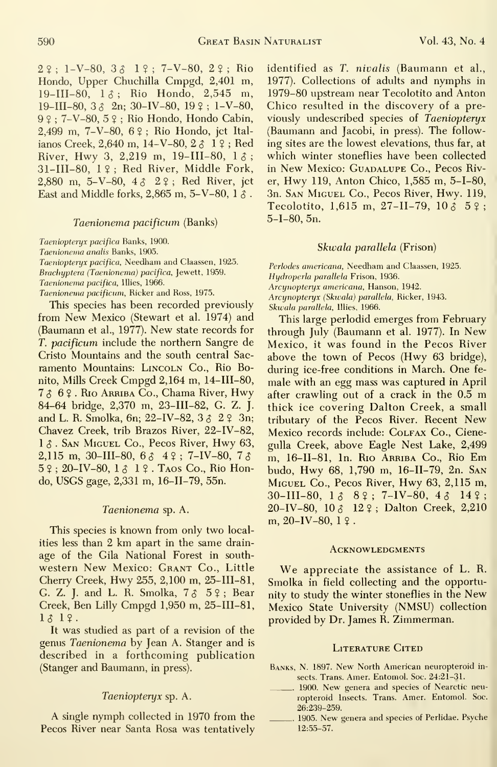$29: 1-V-80, 32. 19: 7-V-80, 29: Rio$ Hondo, Upper Chuchilla Cmpgd, 2,401 m,  $19-III-80$ ,  $1 \lambda$ ; Rio Hondo, 2,545 m, 19-III-80,  $3 \land 2n$ ;  $30-V-80$ ,  $19 \lor 1-V-80$ , 9 \$ ; 7-V-80, 5 ? ; Rio Hondo, Hondo Cabin, 2,499 m, 7-V-80, 6 ? ; Rio Hondo, jet Ital ianos Creek, 2,640 m, 14-V-80, 2  $\uparrow$  1  $\uparrow$ ; Red River, Hwy 3, 2.219 m, 19-III-80,  $1 \lambda$ ;  $31$ -III-80,  $1$  ?; Red River, Middle Fork, 2,880 m, 5-V-80, 4  $\uparrow$  2 ?; Red River, ict East and Middle forks, 2,865 m, 5-V-80, 1  $\delta$ .

# Taenionema pacificum (Banks)

Taeniopteryx pacifica Banks, 1900. Taenionema analis Banks, 1905. Taeniopteryx pacifica, Needham and Claassen, 1925. Brachyptera (Taenionema) pacifica, Jewett, 1959. Taenionema pacifica, Illies, 1966. Taenionema pacificum, Ricker and Ross, 1975.

This species has been recorded previously from New Mexico (Stewart et al. 1974) and (Baumann et al., 1977). New state records for T. pacificum include the northern Sangre de Cristo Mountains and the south central Sac ramento Mountains: LINCOLN Co., Rio Bonito, Mills Creek Cmpgd 2,164 m, 14-III-80, 756?. Rio Arriba Co., Chama River, Hwy 84-64 bridge, 2,370 m, 23-III-82, G. Z. J. and L. R. Smolka, 6n; 22-IV-82,  $3 \delta$  2  $2 \delta$  3n; Chavez Creek, trib Brazos River, 22-IV-82, 1  $\delta$ . San Miguel Co., Pecos River, Hwy 63, 2,115 m, 30-III-80, 6  $\delta$  4  $\gamma$ ; 7-IV-80, 7  $\delta$  $5$  ?; 20-IV-80,  $1 \delta$  1 ? . Taos Co., Rio Hondo, USGS gage, 2,331 m, 16-II-79, 55n.

# Taenionema sp. A.

This species is known from only two localities less than 2 km apart in the same drainage of the Gila National Forest in south western New Mexico: GRANT Co., Little Cherry Creek, Hwy 255, 2,100 m, 25-III-81, G. Z. J. and L. R. Smolka,  $7 \delta$   $5 \circ$ ; Bear Creek, Ben Lilly Cmpgd 1,950 m, 25-III-81, 1\$ 1?.

It was studied as part of a revision of the genus Taenionema by Jean A. Stanger and isdescribed in a forthcoming publication (Stanger and Baumann, in press).

# Taeniopteryx sp. A.

A single nymph collected in 1970 from the Pecos River near Santa Rosa was tentatively

identified as T. nivalis (Baumann et al., 1977). Collections of adults and nymphs in 1979-80 upstream near Tecolotito and Anton Chico resulted in the discovery of a previously undescribed species of Taeniopteryx (Baumann and Jacobi, in press). The follow ing sites are the lowest elevations, thus far, at which winter stoneflies have been collected in New Mexico: GUADALUPE Co., Pecos River, Hwy 119, Anton Chico, 1,585 m, 5-1-80, 3n. San Miguel Co., Pecos River, Hwy. 119, Tecolotito, 1,615 m, 27-II-79, 10  $\delta$  5 ?: 5-1-80, 5n.

# Skwala parallela (Frison)

Perlodes americana, Needham and Claassen, 1925. Hydroperla parallela Frison, 1936. Arcynopteryx americana, Hanson, 1942. Arcynopteryx (Skwala) parallela, Ricker, 1943. Skwala parallela, Illies, 1966.

This large perlodid emerges from February through July (Baumann et al. 1977). In New Mexico, it was found in the Pecos River above the town of Pecos (Hwy 63 bridge), during ice-free conditions in March. One fe male with an egg mass was captured in April after crawling out of <sup>a</sup> crack in the 0.5 m thick ice covering Dalton Creek, a small tributary of the Pecos River. Recent New Mexico records include: Colfax Co., Cienegulla Creek, above Eagle Nest Lake, 2,499 m, 16-11-81, In. Rio Arriba Co., Rio Em budo, Hwy 68, 1,790 m, 16-11-79, 2n. San Miguel Co., Pecos River, Hwy 63, 2,115 m, 30-III-80,  $1 \delta$  8 °; 7-IV-80,  $4 \delta$  14 °; 20-IV-80, 10 5 12 ? ; Dalton Creek, 2,210  $m, 20-IV-80, 1.9$ .

#### **ACKNOWLEDGMENTS**

We appreciate the assistance of L. R. Smolka in field collecting and the opportunity to study the winter stoneflies in the New Mexico State University (NMSU) collection provided by Dr. James R. Zimmerman.

# LITERATURE CITED

- Banks, N. 1897. New North American neuropteroid in sects. Trans. Amer. Entomol. Soc. 24:21-31.
- 1900. New genera and species of Nearctic neuropteroid Insects. Trans. Amer. Entomol. Soc. 26:239-259.
- 1905. New genera and species of PerHdae. Psyche 12:55-57.